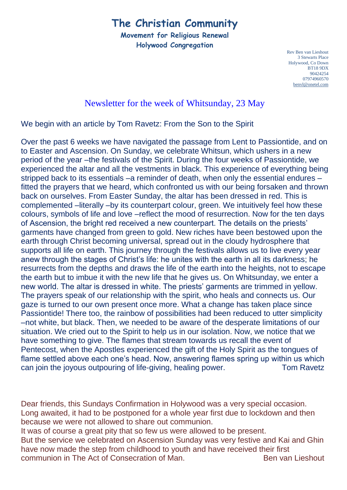# **The Christian Community**

**Movement for Religious Renewal Holywood Congregation**

> Rev Ben van Lieshout 3 Stewarts Place Holywood, Co Down BT18 9DX 90424254 07974960570 [benvl@onetel.com](mailto:benvl@onetel.com)

#### Newsletter for the week of Whitsunday, 23 May

We begin with an article by Tom Ravetz: From the Son to the Spirit

Over the past 6 weeks we have navigated the passage from Lent to Passiontide, and on to Easter and Ascension. On Sunday, we celebrate Whitsun, which ushers in a new period of the year –the festivals of the Spirit. During the four weeks of Passiontide, we experienced the altar and all the vestments in black. This experience of everything being stripped back to its essentials –a reminder of death, when only the essential endures – fitted the prayers that we heard, which confronted us with our being forsaken and thrown back on ourselves. From Easter Sunday, the altar has been dressed in red. This is complemented –literally –by its counterpart colour, green. We intuitively feel how these colours, symbols of life and love –reflect the mood of resurrection. Now for the ten days of Ascension, the bright red received a new counterpart. The details on the priests' garments have changed from green to gold. New riches have been bestowed upon the earth through Christ becoming universal, spread out in the cloudy hydrosphere that supports all life on earth. This journey through the festivals allows us to live every year anew through the stages of Christ's life: he unites with the earth in all its darkness; he resurrects from the depths and draws the life of the earth into the heights, not to escape the earth but to imbue it with the new life that he gives us. On Whitsunday, we enter a new world. The altar is dressed in white. The priests' garments are trimmed in yellow. The prayers speak of our relationship with the spirit, who heals and connects us. Our gaze is turned to our own present once more. What a change has taken place since Passiontide! There too, the rainbow of possibilities had been reduced to utter simplicity –not white, but black. Then, we needed to be aware of the desperate limitations of our situation. We cried out to the Spirit to help us in our isolation. Now, we notice that we have something to give. The flames that stream towards us recall the event of Pentecost, when the Apostles experienced the gift of the Holy Spirit as the tongues of flame settled above each one's head. Now, answering flames spring up within us which can join the joyous outpouring of life-giving, healing power. Tom Ravetz

Dear friends, this Sundays Confirmation in Holywood was a very special occasion. Long awaited, it had to be postponed for a whole year first due to lockdown and then because we were not allowed to share out communion.

It was of course a great pity that so few us were allowed to be present.

But the service we celebrated on Ascension Sunday was very festive and Kai and Ghin have now made the step from childhood to youth and have received their first communion in The Act of Consecration of Man. The Sen van Lieshout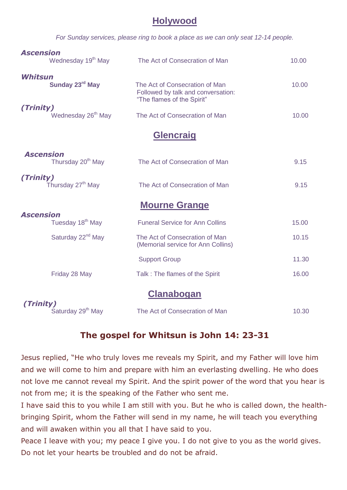### **Holywood**

*For Sunday services, please ring to book a place as we can only seat 12-14 people.*

| <b>Ascension</b><br>Wednesday 19 <sup>th</sup> May | The Act of Consecration of Man                                                                     | 10.00 |
|----------------------------------------------------|----------------------------------------------------------------------------------------------------|-------|
| Whitsun<br>Sunday 23rd May                         | The Act of Consecration of Man<br>Followed by talk and conversation:<br>"The flames of the Spirit" | 10.00 |
| (Trinity)<br>Wednesday 26 <sup>th</sup> May        | The Act of Consecration of Man                                                                     | 10.00 |
|                                                    | <b>Glencraig</b>                                                                                   |       |
| <b>Ascension</b><br>Thursday 20 <sup>th</sup> May  | The Act of Consecration of Man                                                                     | 9.15  |
| (Trinity)<br>Thursday 27 <sup>th</sup> May         | The Act of Consecration of Man                                                                     | 9.15  |
|                                                    | <b>Mourne Grange</b>                                                                               |       |
| <b>Ascension</b><br>Tuesday 18 <sup>th</sup> May   | <b>Funeral Service for Ann Collins</b>                                                             | 15.00 |
| Saturday 22 <sup>nd</sup> May                      | The Act of Consecration of Man<br>(Memorial service for Ann Collins)                               | 10.15 |
|                                                    | <b>Support Group</b>                                                                               | 11.30 |
| Friday 28 May                                      | Talk: The flames of the Spirit                                                                     | 16.00 |
|                                                    | <u>Clanabogan</u>                                                                                  |       |
| (Trinity)<br>Saturday 29 <sup>th</sup> May         | The Act of Consecration of Man                                                                     | 10.30 |

## **The gospel for Whitsun is John 14: 23-31**

Jesus replied, "He who truly loves me reveals my Spirit, and my Father will love him and we will come to him and prepare with him an everlasting dwelling. He who does not love me cannot reveal my Spirit. And the spirit power of the word that you hear is not from me; it is the speaking of the Father who sent me.

I have said this to you while I am still with you. But he who is called down, the healthbringing Spirit, whom the Father will send in my name, he will teach you everything and will awaken within you all that I have said to you.

Peace I leave with you; my peace I give you. I do not give to you as the world gives. Do not let your hearts be troubled and do not be afraid.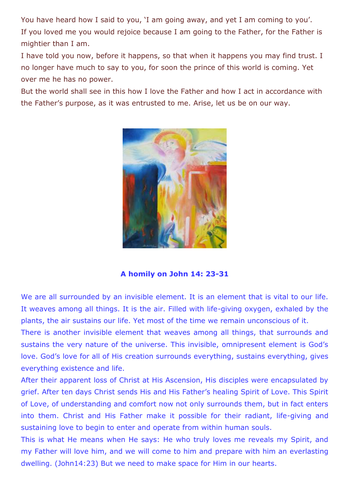You have heard how I said to you, 'I am going away, and yet I am coming to you'. If you loved me you would rejoice because I am going to the Father, for the Father is mightier than I am.

I have told you now, before it happens, so that when it happens you may find trust. I no longer have much to say to you, for soon the prince of this world is coming. Yet over me he has no power.

But the world shall see in this how I love the Father and how I act in accordance with the Father's purpose, as it was entrusted to me. Arise, let us be on our way.



#### **A homily on John 14: 23-31**

We are all surrounded by an invisible element. It is an element that is vital to our life. It weaves among all things. It is the air. Filled with life-giving oxygen, exhaled by the plants, the air sustains our life. Yet most of the time we remain unconscious of it.

There is another invisible element that weaves among all things, that surrounds and sustains the very nature of the universe. This invisible, omnipresent element is God's love. God's love for all of His creation surrounds everything, sustains everything, gives everything existence and life.

After their apparent loss of Christ at His Ascension, His disciples were encapsulated by grief. After ten days Christ sends His and His Father's healing Spirit of Love. This Spirit of Love, of understanding and comfort now not only surrounds them, but in fact enters into them. Christ and His Father make it possible for their radiant, life-giving and sustaining love to begin to enter and operate from within human souls.

This is what He means when He says: He who truly loves me reveals my Spirit, and my Father will love him, and we will come to him and prepare with him an everlasting dwelling. (John14:23) But we need to make space for Him in our hearts.